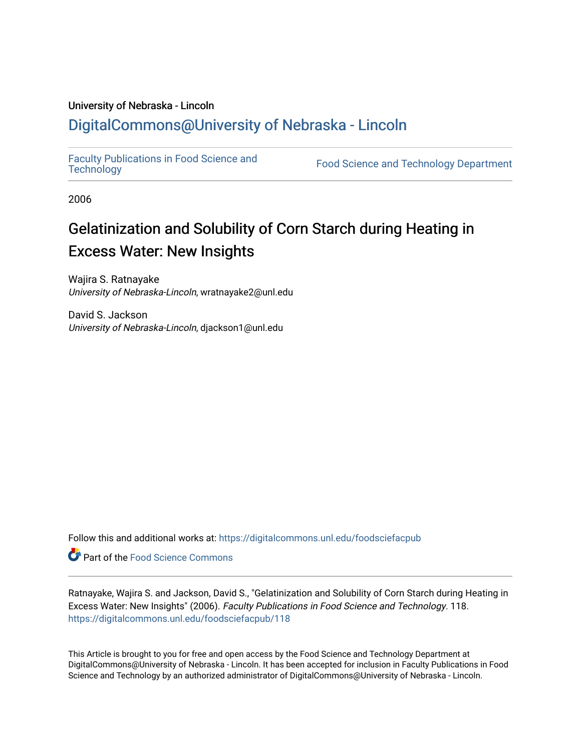### University of Nebraska - Lincoln [DigitalCommons@University of Nebraska - Lincoln](https://digitalcommons.unl.edu/)

[Faculty Publications in Food Science and](https://digitalcommons.unl.edu/foodsciefacpub)

Food Science and [Technology](https://digitalcommons.unl.edu/foodsciefacpub) Department

2006

# Gelatinization and Solubility of Corn Starch during Heating in Excess Water: New Insights

Wajira S. Ratnayake University of Nebraska-Lincoln, wratnayake2@unl.edu

David S. Jackson University of Nebraska-Lincoln, djackson1@unl.edu

Follow this and additional works at: [https://digitalcommons.unl.edu/foodsciefacpub](https://digitalcommons.unl.edu/foodsciefacpub?utm_source=digitalcommons.unl.edu%2Ffoodsciefacpub%2F118&utm_medium=PDF&utm_campaign=PDFCoverPages) 

Part of the [Food Science Commons](http://network.bepress.com/hgg/discipline/84?utm_source=digitalcommons.unl.edu%2Ffoodsciefacpub%2F118&utm_medium=PDF&utm_campaign=PDFCoverPages) 

Ratnayake, Wajira S. and Jackson, David S., "Gelatinization and Solubility of Corn Starch during Heating in Excess Water: New Insights" (2006). Faculty Publications in Food Science and Technology. 118. [https://digitalcommons.unl.edu/foodsciefacpub/118](https://digitalcommons.unl.edu/foodsciefacpub/118?utm_source=digitalcommons.unl.edu%2Ffoodsciefacpub%2F118&utm_medium=PDF&utm_campaign=PDFCoverPages)

This Article is brought to you for free and open access by the Food Science and Technology Department at DigitalCommons@University of Nebraska - Lincoln. It has been accepted for inclusion in Faculty Publications in Food Science and Technology by an authorized administrator of DigitalCommons@University of Nebraska - Lincoln.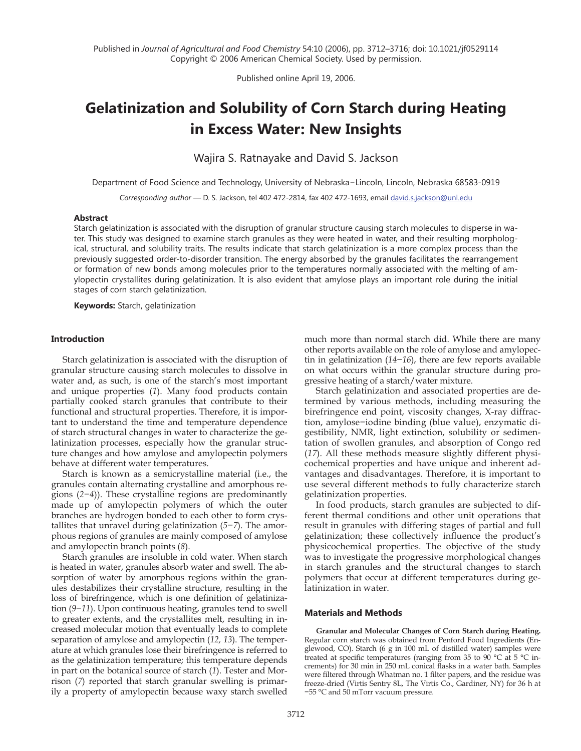Published online April 19, 2006.

## **Gelatinization and Solubility of Corn Starch during Heating in Excess Water: New Insights**

Wajira S. Ratnayake and David S. Jackson

Department of Food Science and Technology, University of Nebraska−Lincoln, Lincoln, Nebraska 68583-0919

*Corresponding author* — D. S. Jackson, tel 402 472-2814, fax 402 472-1693, email david.s.jackson@unl.edu

#### **Abstract**

Starch gelatinization is associated with the disruption of granular structure causing starch molecules to disperse in water. This study was designed to examine starch granules as they were heated in water, and their resulting morphological, structural, and solubility traits. The results indicate that starch gelatinization is a more complex process than the previously suggested order-to-disorder transition. The energy absorbed by the granules facilitates the rearrangement or formation of new bonds among molecules prior to the temperatures normally associated with the melting of amylopectin crystallites during gelatinization. It is also evident that amylose plays an important role during the initial stages of corn starch gelatinization.

**Keywords:** Starch, gelatinization

#### **Introduction**

Starch gelatinization is associated with the disruption of granular structure causing starch molecules to dissolve in water and, as such, is one of the starch's most important and unique properties (*1*). Many food products contain partially cooked starch granules that contribute to their functional and structural properties. Therefore, it is important to understand the time and temperature dependence of starch structural changes in water to characterize the gelatinization processes, especially how the granular structure changes and how amylose and amylopectin polymers behave at different water temperatures.

Starch is known as a semicrystalline material (i.e., the granules contain alternating crystalline and amorphous regions (*2−4*)). These crystalline regions are predominantly made up of amylopectin polymers of which the outer branches are hydrogen bonded to each other to form crystallites that unravel during gelatinization (*5−7*). The amorphous regions of granules are mainly composed of amylose and amylopectin branch points (*8*).

Starch granules are insoluble in cold water. When starch is heated in water, granules absorb water and swell. The absorption of water by amorphous regions within the granules destabilizes their crystalline structure, resulting in the loss of birefringence, which is one definition of gelatinization (*9−11*). Upon continuous heating, granules tend to swell to greater extents, and the crystallites melt, resulting in increased molecular motion that eventually leads to complete separation of amylose and amylopectin (*12, 13*). The temperature at which granules lose their birefringence is referred to as the gelatinization temperature; this temperature depends in part on the botanical source of starch (*1*). Tester and Morrison (*7*) reported that starch granular swelling is primarily a property of amylopectin because waxy starch swelled much more than normal starch did. While there are many other reports available on the role of amylose and amylopectin in gelatinization (*14−16*), there are few reports available on what occurs within the granular structure during progressive heating of a starch/water mixture.

Starch gelatinization and associated properties are determined by various methods, including measuring the birefringence end point, viscosity changes, X-ray diffraction, amylose−iodine binding (blue value), enzymatic digestibility, NMR, light extinction, solubility or sedimentation of swollen granules, and absorption of Congo red (*17*). All these methods measure slightly different physicochemical properties and have unique and inherent advantages and disadvantages. Therefore, it is important to use several different methods to fully characterize starch gelatinization properties.

In food products, starch granules are subjected to different thermal conditions and other unit operations that result in granules with differing stages of partial and full gelatinization; these collectively influence the product's physicochemical properties. The objective of the study was to investigate the progressive morphological changes in starch granules and the structural changes to starch polymers that occur at different temperatures during gelatinization in water.

#### **Materials and Methods**

**Granular and Molecular Changes of Corn Starch during Heating.** Regular corn starch was obtained from Penford Food Ingredients (Englewood, CO). Starch (6 g in 100 mL of distilled water) samples were treated at specific temperatures (ranging from 35 to 90 °C at 5 °C increments) for 30 min in 250 mL conical flasks in a water bath. Samples were filtered through Whatman no. 1 filter papers, and the residue was freeze-dried (Virtis Sentry 8L, The Virtis Co., Gardiner, NY) for 36 h at −55 °C and 50 mTorr vacuum pressure.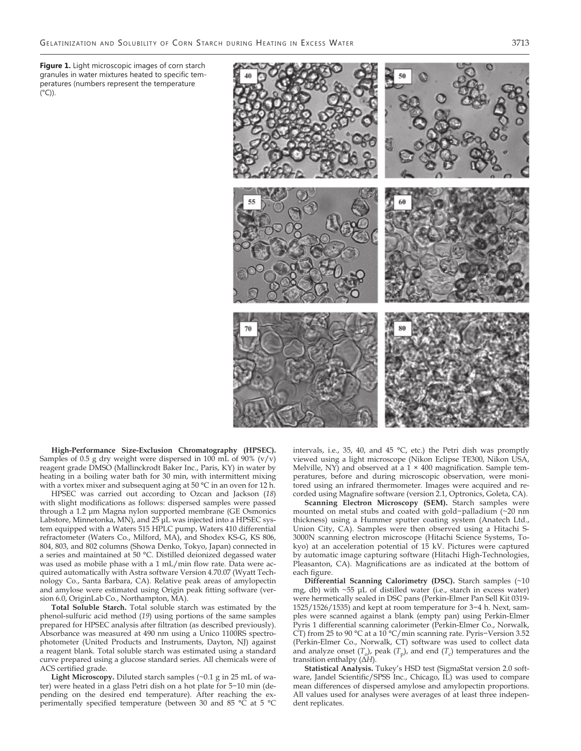**Figure 1.** Light microscopic images of corn starch granules in water mixtures heated to specific temperatures (numbers represent the temperature  $(^{\circ}C)$ ).



**High-Performance Size-Exclusion Chromatography (HPSEC).** Samples of 0.5 g dry weight were dispersed in 100 mL of 90%  $(v/v)$ reagent grade DMSO (Mallinckrodt Baker Inc., Paris, KY) in water by heating in a boiling water bath for 30 min, with intermittent mixing with a vortex mixer and subsequent aging at 50 °C in an oven for 12 h.

HPSEC was carried out according to Ozcan and Jackson (*18*) with slight modifications as follows: dispersed samples were passed through a 1.2 μm Magna nylon supported membrane (GE Osmonics Labstore, Minnetonka, MN), and 25 μL was injected into a HPSEC system equipped with a Waters 515 HPLC pump, Waters 410 differential refractometer (Waters Co., Milford, MA), and Shodex KS-G, KS 806, 804, 803, and 802 columns (Showa Denko, Tokyo, Japan) connected in a series and maintained at 50 °C. Distilled deionized degassed water was used as mobile phase with a 1 mL/min flow rate. Data were acquired automatically with Astra software Version 4.70.07 (Wyatt Technology Co., Santa Barbara, CA). Relative peak areas of amylopectin and amylose were estimated using Origin peak fitting software (version 6.0, OriginLab Co., Northampton, MA).

**Total Soluble Starch.** Total soluble starch was estimated by the phenol-sulfuric acid method (*19*) using portions of the same samples prepared for HPSEC analysis after filtration (as described previously). Absorbance was measured at 490 nm using a Unico 1100RS spectrophotometer (United Products and Instruments, Dayton, NJ) against a reagent blank. Total soluble starch was estimated using a standard curve prepared using a glucose standard series. All chemicals were of ACS certified grade.

**Light Microscopy.** Diluted starch samples (~0.1 g in 25 mL of water) were heated in a glass Petri dish on a hot plate for 5−10 min (depending on the desired end temperature). After reaching the experimentally specified temperature (between 30 and 85 °C at 5 °C

intervals, i.e., 35, 40, and 45 °C, etc.) the Petri dish was promptly viewed using a light microscope (Nikon Eclipse TE300, Nikon USA, Melville, NY) and observed at a  $1 \times 400$  magnification. Sample temperatures, before and during microscopic observation, were monitored using an infrared thermometer. Images were acquired and recorded using Magnafire software (version 2.1, Optronics, Goleta, CA).

**Scanning Electron Microscopy (SEM).** Starch samples were mounted on metal stubs and coated with gold−palladium (~20 nm thickness) using a Hummer sputter coating system (Anatech Ltd., Union City, CA). Samples were then observed using a Hitachi S-3000N scanning electron microscope (Hitachi Science Systems, Tokyo) at an acceleration potential of 15 kV. Pictures were captured by automatic image capturing software (Hitachi High-Technologies, Pleasanton, CA). Magnifications are as indicated at the bottom of each figure.

**Differential Scanning Calorimetry (DSC).** Starch samples (~10 mg, db) with ~55 μL of distilled water (i.e., starch in excess water) were hermetically sealed in DSC pans (Perkin-Elmer Pan Sell Kit 0319- 1525/1526/1535) and kept at room temperature for 3−4 h. Next, samples were scanned against a blank (empty pan) using Perkin-Elmer Pyris 1 differential scanning calorimeter (Perkin-Elmer Co., Norwalk, CT) from 25 to 90 °C at a 10 °C/min scanning rate. Pyris−Version 3.52 (Perkin-Elmer Co., Norwalk, CT) software was used to collect data and analyze onset  $(T_o)$ , peak  $(T_p)$ , and end  $(T_c)$  temperatures and the transition enthalpy (Δ*H*).

**Statistical Analysis.** Tukey's HSD test (SigmaStat version 2.0 software, Jandel Scientific/SPSS Inc., Chicago, IL) was used to compare mean differences of dispersed amylose and amylopectin proportions. All values used for analyses were averages of at least three independent replicates.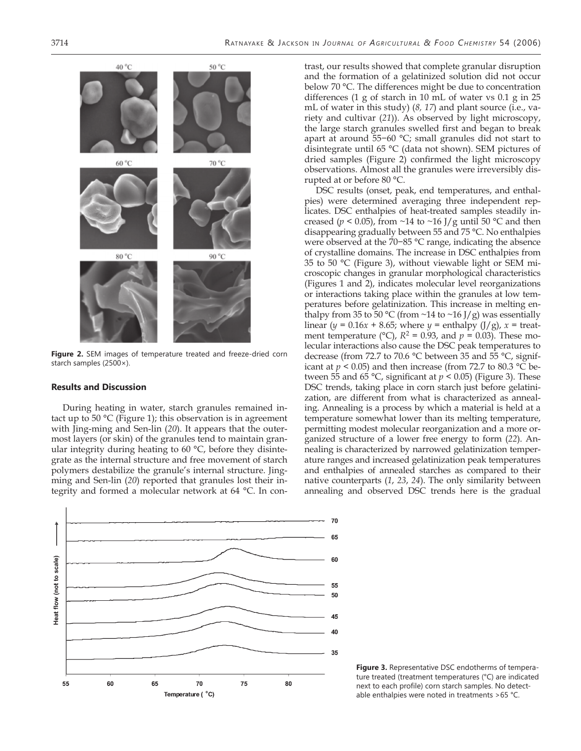

**Figure 2.** SEM images of temperature treated and freeze-dried corn starch samples (2500×).

#### **Results and Discussion**

During heating in water, starch granules remained intact up to 50 °C (Figure 1); this observation is in agreement with Jing-ming and Sen-lin (*20*). It appears that the outermost layers (or skin) of the granules tend to maintain granular integrity during heating to 60 °C, before they disintegrate as the internal structure and free movement of starch polymers destabilize the granule's internal structure. Jingming and Sen-lin (*20*) reported that granules lost their integrity and formed a molecular network at 64 °C. In con-



trast, our results showed that complete granular disruption and the formation of a gelatinized solution did not occur below 70 °C. The differences might be due to concentration differences (1 g of starch in 10 mL of water vs 0.1 g in 25 mL of water in this study) (*8, 17*) and plant source (i.e., variety and cultivar (*21*)). As observed by light microscopy, the large starch granules swelled first and began to break apart at around 55−60 °C; small granules did not start to disintegrate until 65 °C (data not shown). SEM pictures of dried samples (Figure 2) confirmed the light microscopy observations. Almost all the granules were irreversibly disrupted at or before 80 °C.

DSC results (onset, peak, end temperatures, and enthalpies) were determined averaging three independent replicates. DSC enthalpies of heat-treated samples steadily increased ( $p < 0.05$ ), from ~14 to ~16 J/g until 50 °C and then disappearing gradually between 55 and 75 °C. No enthalpies were observed at the 70−85 °C range, indicating the absence of crystalline domains. The increase in DSC enthalpies from 35 to 50 °C (Figure 3), without viewable light or SEM microscopic changes in granular morphological characteristics (Figures 1 and 2), indicates molecular level reorganizations or interactions taking place within the granules at low temperatures before gelatinization. This increase in melting enthalpy from 35 to 50 °C (from  $\sim$ 14 to  $\sim$ 16 J/g) was essentially linear ( $y = 0.16x + 8.65$ ; where  $y =$  enthalpy (J/g),  $x =$  treatment temperature ( $^{\circ}$ C),  $R^2$  = 0.93, and  $p$  = 0.03). These molecular interactions also cause the DSC peak temperatures to decrease (from 72.7 to 70.6 °C between 35 and 55 °C, significant at  $p < 0.05$ ) and then increase (from 72.7 to 80.3 °C between 55 and 65 °C, significant at  $p < 0.05$ ) (Figure 3). These DSC trends, taking place in corn starch just before gelatinization, are different from what is characterized as annealing. Annealing is a process by which a material is held at a temperature somewhat lower than its melting temperature, permitting modest molecular reorganization and a more organized structure of a lower free energy to form (*22*). Annealing is characterized by narrowed gelatinization temperature ranges and increased gelatinization peak temperatures and enthalpies of annealed starches as compared to their native counterparts (*1*, *23*, *24*). The only similarity between annealing and observed DSC trends here is the gradual

**Figure 3.** Representative DSC endotherms of temperature treated (treatment temperatures (°C) are indicated next to each profile) corn starch samples. No detectable enthalpies were noted in treatments >65 °C.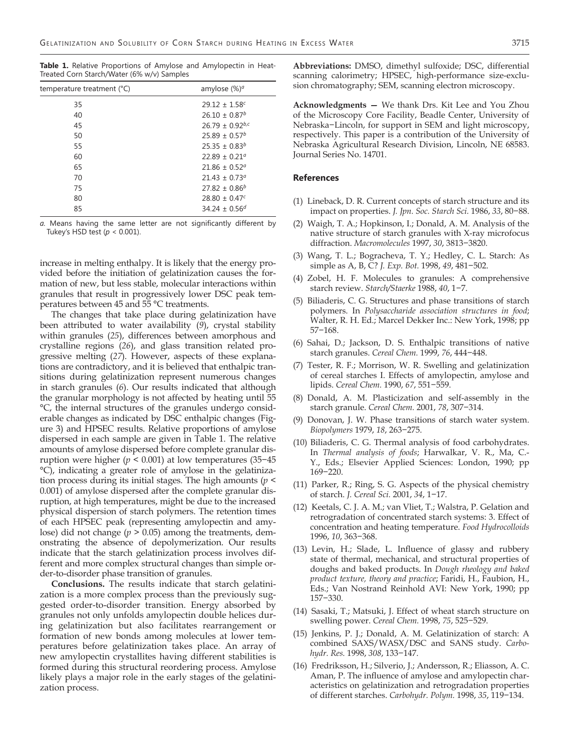**Table 1.** Relative Proportions of Amylose and Amylopectin in Heat-Treated Corn Starch/Water (6% w/v) Samples

| temperature treatment (°C) | amylose (%) <sup>a</sup>        |
|----------------------------|---------------------------------|
| 35                         | $29.12 \pm 1.58$ c              |
| 40                         | $26.10 \pm 0.87^b$              |
| 45                         | $26.79 \pm 0.92$ <sup>b,c</sup> |
| 50                         | $25.89 \pm 0.57^b$              |
| 55                         | $25.35 \pm 0.83^b$              |
| 60                         | $22.89 \pm 0.21$ <sup>a</sup>   |
| 65                         | $21.86 \pm 0.52^{\circ}$        |
| 70                         | $21.43 \pm 0.73^{\circ}$        |
| 75                         | $27.82 \pm 0.86^b$              |
| 80                         | $28.80 \pm 0.47$ <sup>c</sup>   |
| 85                         | $34.24 \pm 0.56^{d}$            |

*a.* Means having the same letter are not significantly different by Tukey's HSD test (*p* < 0.001).

increase in melting enthalpy. It is likely that the energy provided before the initiation of gelatinization causes the formation of new, but less stable, molecular interactions within granules that result in progressively lower DSC peak temperatures between 45 and 55 °C treatments.

The changes that take place during gelatinization have been attributed to water availability (*9*), crystal stability within granules (*25*), differences between amorphous and crystalline regions (*26*), and glass transition related progressive melting (*27*). However, aspects of these explanations are contradictory, and it is believed that enthalpic transitions during gelatinization represent numerous changes in starch granules (*6*). Our results indicated that although the granular morphology is not affected by heating until 55 °C, the internal structures of the granules undergo considerable changes as indicated by DSC enthalpic changes (Figure 3) and HPSEC results. Relative proportions of amylose dispersed in each sample are given in Table 1. The relative amounts of amylose dispersed before complete granular disruption were higher (*p* < 0.001) at low temperatures (35−45 °C), indicating a greater role of amylose in the gelatinization process during its initial stages. The high amounts (*p* < 0.001) of amylose dispersed after the complete granular disruption, at high temperatures, might be due to the increased physical dispersion of starch polymers. The retention times of each HPSEC peak (representing amylopectin and amylose) did not change (*p* > 0.05) among the treatments, demonstrating the absence of depolymerization. Our results indicate that the starch gelatinization process involves different and more complex structural changes than simple order-to-disorder phase transition of granules.

**Conclusions.** The results indicate that starch gelatinization is a more complex process than the previously suggested order-to-disorder transition. Energy absorbed by granules not only unfolds amylopectin double helices during gelatinization but also facilitates rearrangement or formation of new bonds among molecules at lower temperatures before gelatinization takes place. An array of new amylopectin crystallites having different stabilities is formed during this structural reordering process. Amylose likely plays a major role in the early stages of the gelatinization process.

**Abbreviations:** DMSO, dimethyl sulfoxide; DSC, differential scanning calorimetry; HPSEC, high-performance size-exclusion chromatography; SEM, scanning electron microscopy.

**Acknowledgments —** We thank Drs. Kit Lee and You Zhou of the Microscopy Core Facility, Beadle Center, University of Nebraska−Lincoln, for support in SEM and light microscopy, respectively. This paper is a contribution of the University of Nebraska Agricultural Research Division, Lincoln, NE 68583. Journal Series No. 14701.

#### **References**

- (1) Lineback, D. R. Current concepts of starch structure and its impact on properties. *J. Jpn. Soc. Starch Sci.* 1986, *33*, 80−88.
- (2) Waigh, T. A.; Hopkinson, I.; Donald, A. M. Analysis of the native structure of starch granules with X-ray microfocus diffraction. *Macromolecules* 1997, *30*, 3813−3820.
- (3) Wang, T. L.; Bogracheva, T. Y.; Hedley, C. L. Starch: As simple as A, B, C? *J. Exp. Bot.* 1998, *49*, 481−502.
- (4) Zobel, H. F. Molecules to granules: A comprehensive starch review. *Starch/Staerke* 1988, *40*, 1−7.
- (5) Biliaderis, C. G. Structures and phase transitions of starch polymers. In *Polysaccharide association structures in food*; Walter, R. H. Ed.; Marcel Dekker Inc.: New York, 1998; pp 57−168.
- (6) Sahai, D.; Jackson, D. S. Enthalpic transitions of native starch granules. *Cereal Chem.* 1999, *76*, 444−448.
- (7) Tester, R. F.; Morrison, W. R. Swelling and gelatinization of cereal starches I. Effects of amylopectin, amylose and lipids. *Cereal Chem.* 1990, *67*, 551−559.
- (8) Donald, A. M. Plasticization and self-assembly in the starch granule. *Cereal Chem.* 2001, *78*, 307−314.
- (9) Donovan, J. W. Phase transitions of starch water system. *Biopolymers* 1979, *18*, 263−275.
- (10) Biliaderis, C. G. Thermal analysis of food carbohydrates. In *Thermal analysis of foods*; Harwalkar, V. R., Ma, C.- Y., Eds.; Elsevier Applied Sciences: London, 1990; pp 169−220.
- (11) Parker, R.; Ring, S. G. Aspects of the physical chemistry of starch. *J. Cereal Sci.* 2001, *34*, 1−17.
- (12) Keetals, C. J. A. M.; van Vliet, T.; Walstra, P. Gelation and retrogradation of concentrated starch systems: 3. Effect of concentration and heating temperature. *Food Hydrocolloids*  1996, *10*, 363−368.
- (13) Levin, H.; Slade, L. Influence of glassy and rubbery state of thermal, mechanical, and structural properties of doughs and baked products. In *Dough rheology and baked product texture, theory and practice*; Faridi, H., Faubion, H., Eds.; Van Nostrand Reinhold AVI: New York, 1990; pp 157−330.
- (14) Sasaki, T.; Matsuki, J. Effect of wheat starch structure on swelling power. *Cereal Chem.* 1998, *75*, 525−529.
- (15) Jenkins, P. J.; Donald, A. M. Gelatinization of starch: A combined SAXS/WASX/DSC and SANS study. *Carbohydr. Res.* 1998, *308*, 133−147.
- (16) Fredriksson, H.; Silverio, J.; Andersson, R.; Eliasson, A. C. Aman, P. The influence of amylose and amylopectin characteristics on gelatinization and retrogradation properties of different starches. *Carbohydr. Polym.* 1998, *35*, 119−134.